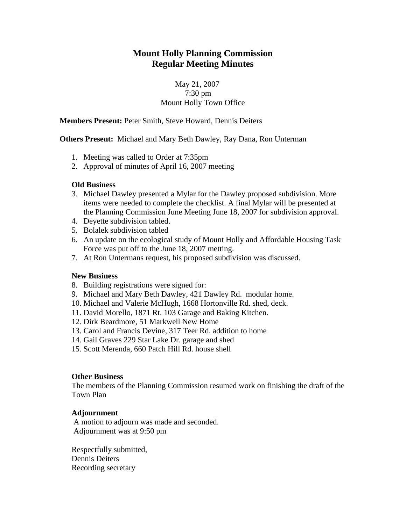# **Mount Holly Planning Commission Regular Meeting Minutes**

## May 21, 2007 7:30 pm Mount Holly Town Office

**Members Present:** Peter Smith, Steve Howard, Dennis Deiters

**Others Present:** Michael and Mary Beth Dawley, Ray Dana, Ron Unterman

- 1. Meeting was called to Order at 7:35pm
- 2. Approval of minutes of April 16, 2007 meeting

#### **Old Business**

- 3. Michael Dawley presented a Mylar for the Dawley proposed subdivision. More items were needed to complete the checklist. A final Mylar will be presented at the Planning Commission June Meeting June 18, 2007 for subdivision approval.
- 4. Deyette subdivision tabled.
- 5. Bolalek subdivision tabled
- 6. An update on the ecological study of Mount Holly and Affordable Housing Task Force was put off to the June 18, 2007 metting.
- 7. At Ron Untermans request, his proposed subdivision was discussed.

#### **New Business**

- 8. Building registrations were signed for:
- 9. Michael and Mary Beth Dawley, 421 Dawley Rd. modular home.
- 10. Michael and Valerie McHugh, 1668 Hortonville Rd. shed, deck.
- 11. David Morello, 1871 Rt. 103 Garage and Baking Kitchen.
- 12. Dirk Beardmore, 51 Markwell New Home
- 13. Carol and Francis Devine, 317 Teer Rd. addition to home
- 14. Gail Graves 229 Star Lake Dr. garage and shed
- 15. Scott Merenda, 660 Patch Hill Rd. house shell

#### **Other Business**

The members of the Planning Commission resumed work on finishing the draft of the Town Plan

### **Adjournment**

 A motion to adjourn was made and seconded. Adjournment was at 9:50 pm

Respectfully submitted, Dennis Deiters Recording secretary